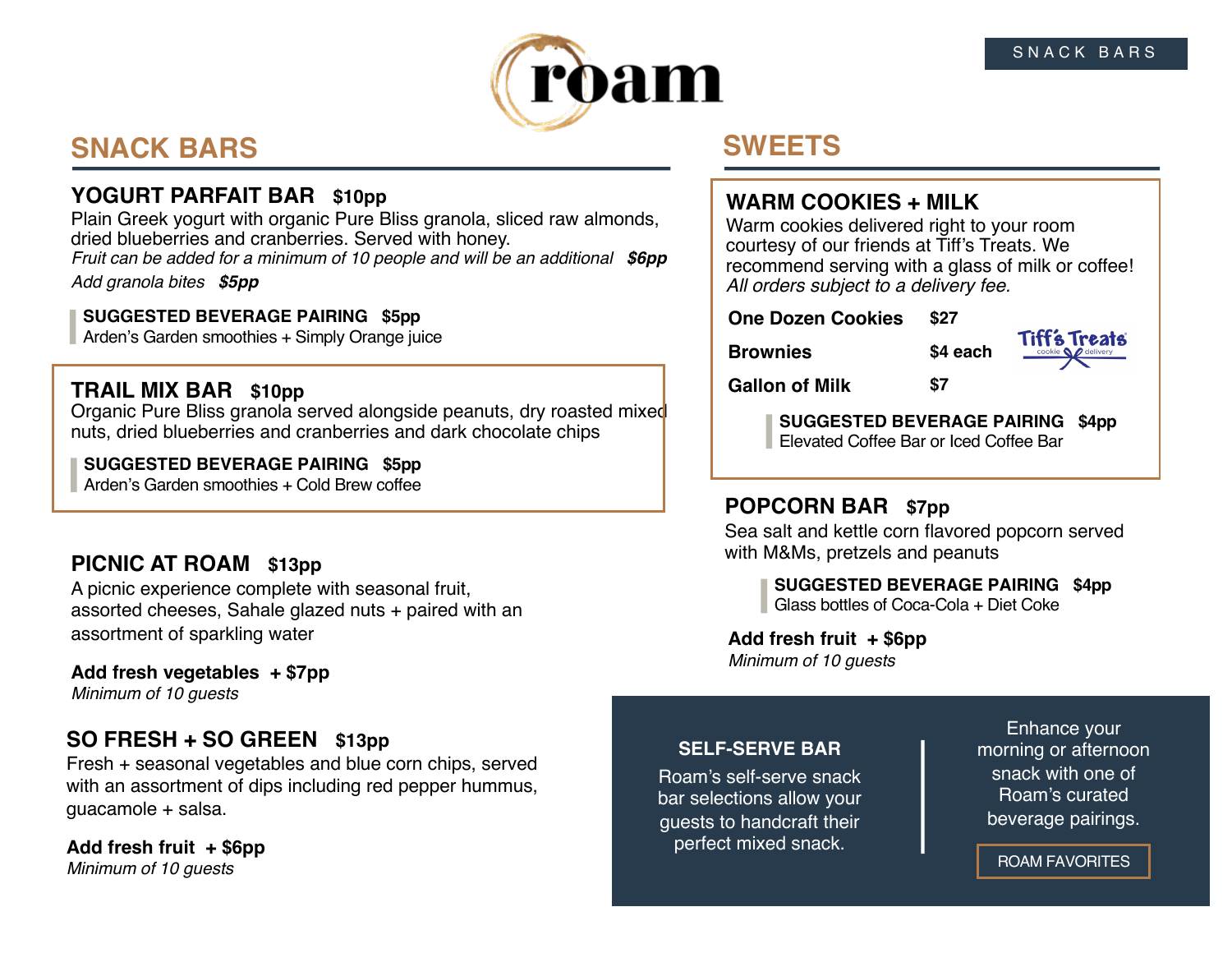

# **SNACK BARS**

# **YOGURT PARFAIT BAR \$10pp**

Plain Greek yogurt with organic Pure Bliss granola, sliced raw almonds, dried blueberries and cranberries. Served with honey. *Fruit can be added for a minimum of 10 people and will be an additional \$6pp*

*Add granola bites \$5pp*

#### **SUGGESTED BEVERAGE PAIRING \$5pp**

Arden's Garden smoothies + Simply Orange juice

## **TRAIL MIX BAR \$10pp**

Organic Pure Bliss granola served alongside peanuts, dry roasted mixed nuts, dried blueberries and cranberries and dark chocolate chips

#### **SUGGESTED BEVERAGE PAIRING \$5pp**

Arden's Garden smoothies + Cold Brew coffee

# **PICNIC AT ROAM \$13pp**

A picnic experience complete with seasonal fruit, assorted cheeses, Sahale glazed nuts + paired with an assortment of sparkling water

# **Add fresh vegetables + \$7pp**

*Minimum of 10 guests*

# **SO FRESH + SO GREEN \$13pp**

Fresh + seasonal vegetables and blue corn chips, served with an assortment of dips including red pepper hummus, guacamole + salsa.

**Add fresh fruit + \$6pp** *Minimum of 10 guests*

# **SWEETS**

# **WARM COOKIES + MILK**

Warm cookies delivered right to your room courtesy of our friends at Tiff's Treats. We recommend serving with a glass of milk or coffee! *All orders subject to a delivery fee.*

**One Dozen Cookies \$27**

**Brownies \$4 each**



**Gallon of Milk \$7**

**SUGGESTED BEVERAGE PAIRING \$4pp** Elevated Coffee Bar or Iced Coffee Bar

# **POPCORN BAR \$7pp**

Sea salt and kettle corn flavored popcorn served with M&Ms, pretzels and peanuts

**SUGGESTED BEVERAGE PAIRING \$4pp** Glass bottles of Coca-Cola + Diet Coke

**Add fresh fruit + \$6pp** *Minimum of 10 guests*

### **SELF-SERVE BAR**

Roam's self-serve snack bar selections allow your guests to handcraft their perfect mixed snack.

Enhance your morning or afternoon snack with one of Roam's curated beverage pairings.

ROAM FAVORITES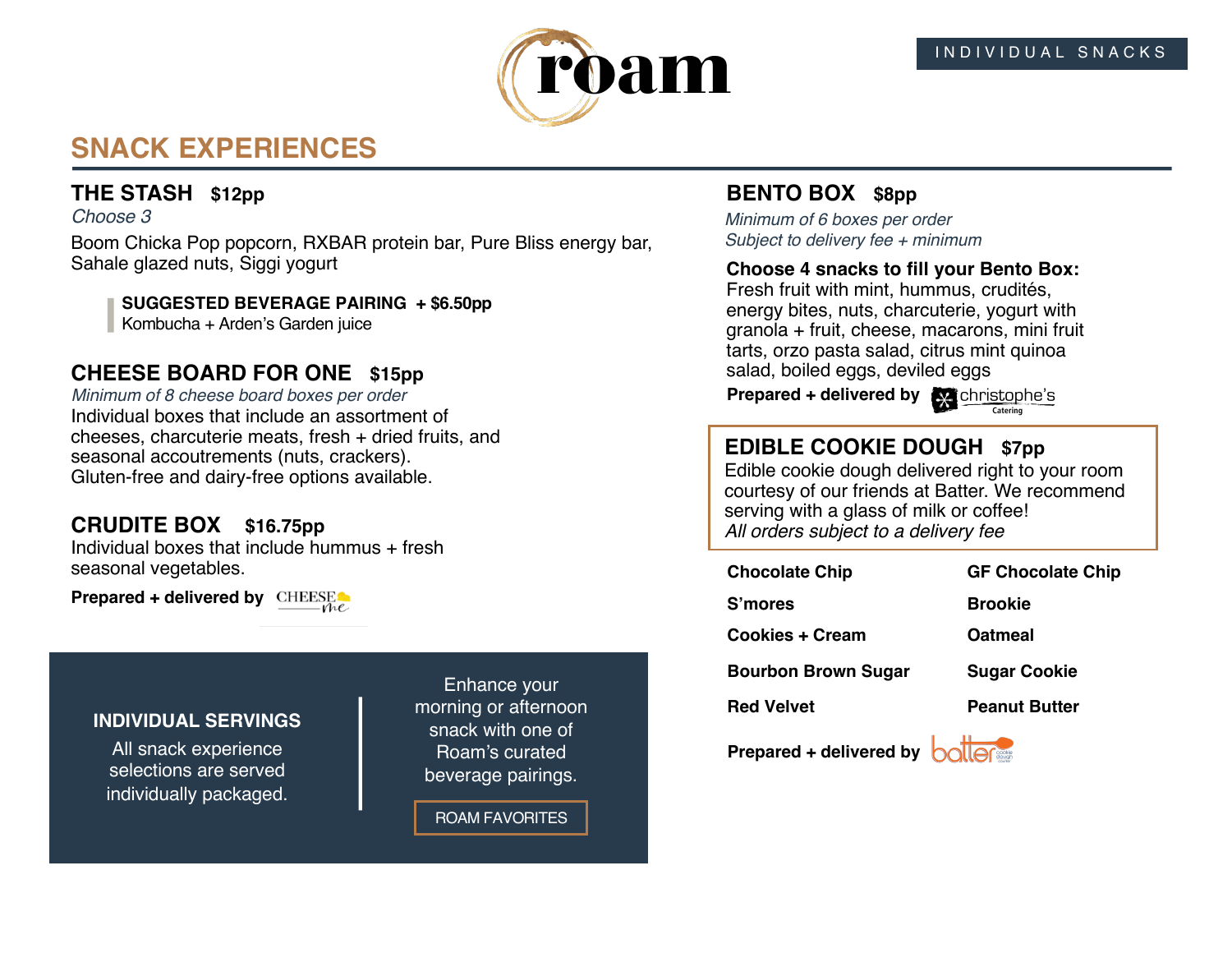

# **SNACK EXPERIENCES**

# **THE STASH \$12pp**

#### *Choose 3*

Boom Chicka Pop popcorn, RXBAR protein bar, Pure Bliss energy bar, Sahale glazed nuts, Siggi yogurt

**SUGGESTED BEVERAGE PAIRING + \$6.50pp** Kombucha + Arden's Garden juice

### **CHEESE BOARD FOR ONE \$15pp**

Individual boxes that include an assortment of cheeses, charcuterie meats, fresh + dried fruits, and seasonal accoutrements (nuts, crackers). Gluten-free and dairy-free options available. *Minimum of 8 cheese board boxes per order*

### **CRUDITE BOX \$16.75pp**

Individual boxes that include hummus + fresh seasonal vegetables.

**Prepared + delivered by** CHEESE

#### **INDIVIDUAL SERVINGS**

All snack experience selections are served individually packaged.

Enhance your morning or afternoon snack with one of Roam's curated beverage pairings.

ROAM FAVORITES

### **BENTO BOX \$8pp**

*Minimum of 6 boxes per order Subject to delivery fee + minimum*

#### **Choose 4 snacks to fill your Bento Box:**

Fresh fruit with mint, hummus, crudités, energy bites, nuts, charcuterie, yogurt with granola + fruit, cheese, macarons, mini fruit tarts, orzo pasta salad, citrus mint quinoa salad, boiled eggs, deviled eggs

**Prepared + delivered by**  $\bullet$  christophe's



# **EDIBLE COOKIE DOUGH \$7pp**

Edible cookie dough delivered right to your room courtesy of our friends at Batter. We recommend serving with a glass of milk or coffee! *All orders subject to a delivery fee*

**Chocolate Chip GF Chocolate Chip**

**Cookies + Cream**

**S'mores Brookie**

**Red Velvet**

**Oatmeal**

**Bourbon Brown Sugar**

**Peanut Butter**

**Sugar Cookie**

**Prepared + delivered by <b>boller**